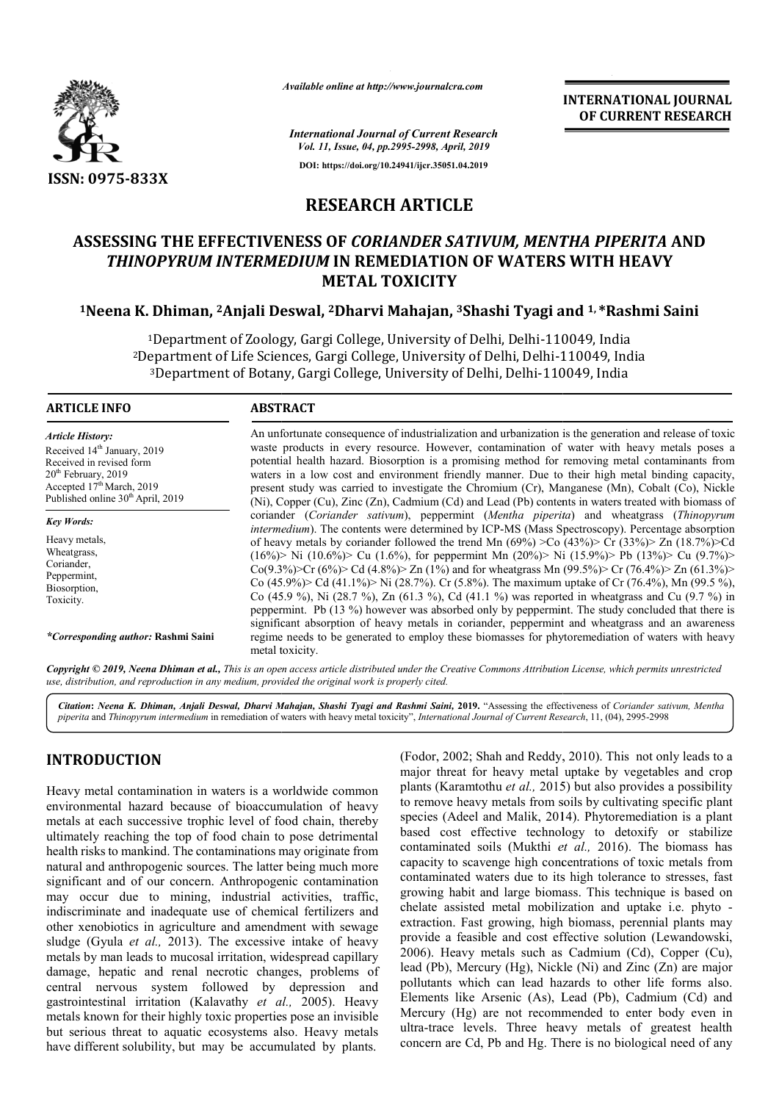

*Available online at http://www.journalcra.com*

**INTERNATIONAL JOURNAL OF CURRENT RESEARCH**

*International Journal of Current Research Vol. 11, Issue, 04, pp.2995-2998, April, 2019* **DOI: https://doi.org/10.24941/ijcr.35051.04.2019**

# **RESEARCH ARTICLE**

# **ASSESSING THE EFFECTIVENESS OF**  *CORIANDER SATIVUM, MENTHA PIPERITA*  **AND THINOPYRUM INTERMEDIUM IN REMEDIATION OF WATERS WITH HEAVY METAL TOXICITY**

#### <sup>1</sup>Neena K. Dhiman, <sup>2</sup>Anjali Deswal, <sup>2</sup>Dharvi Mahajan, <sup>3</sup>Shashi Tyagi and <sup>1,</sup> \*Rashmi Saini

<sup>1</sup>Department of Zoology, Gargi College, University of Delhi, Delhi-110049, India <sup>2</sup>Department of Life Sciences, Gargi College, University of Delhi, Delhi-110049, India 'Department of Zoology, Gargi College, University of Delhi, Delhi-110049, India<br>epartment of Life Sciences, Gargi College, University of Delhi, Delhi-110049, In<br><sup>3</sup>Department of Botany, Gargi College, University of Delhi,

#### **ARTICLE INFO ABSTRACT**

*Article History:* Received 14<sup>th</sup> January, 2019 Received in revised form 20<sup>th</sup> February, 2019 Accepted 17<sup>th</sup> March, 2019 Published online 30<sup>th</sup> April, 2019

*Key Words:* Heavy metals,

Wheatgrass. Coriander, Peppermint, Biosorption, Toxicity.

*\*Corresponding author:* **Rashmi Saini**

An unfortunate consequence of industrialization and urbanization is the generation and release of toxic waste products in every resource. However, contamination of water with heavy metals poses a potential health hazard. Biosorption is a promising method for removing metal contaminants from waters in a low cost and environment friendly manner. Due to their high metal binding capacity, present study was carried to investigate the Chromium (Cr), Manganese (Mn), Cobalt (Co), Nickle present study was carried to investigate the Chromium (Cr), Manganese (Mn), Cobalt (Co), Nickle (Ni), Copper (Cu), Zinc (Zn), Cadmium (Cd) and Lead (Pb) contents in waters treated with biomass of coriander ( *Coriander sativum*), peppermint (*Mentha piperita piperita*) and wheatgrass (*Thinopyrum intermedium* ). The contents were determined by ICP-MS (Mass Spectroscopy). Percentage absorption of heavy metals by coriander followed the trend Mn  $(69\%)$  >Co  $(43\%)$   $\geq$ Cr  $(33\%)$   $\geq$ Zn  $(18.7\%)$   $\geq$ Cd (16%)> Ni (10.6%)> Cu (1.6%), for peppermint Mn (20%)> N Ni (15.9%)> Pb (13%)> Cu (9.7%)>  $Co(9.3\%)$  Cr  $(6\%)$  Cd  $(4.8\%)$  Zn  $(1\%)$  and for wheatgrass Mn  $(99.5\%)$  Cr  $(76.4\%)$  Zn  $(61.3\%)$ Co (45.9%)> Cd (41.1%)> Ni (28.7%). Cr (5.8%). The maximum uptake of Cr (76.4%), Mn (99.5%), Co (45.9 %), Ni (28.7 %), Zn (61.3 %), Cd (41.1 %) was reported in peppermint peppermint. Pb (13 %) however was absorbed only by peppermint peppermint. The study concluded that there is significant absorption of heavy metals in coriander, peppermint and wheatgrass and an awareness significant absorption of heavy metals in coriander, peppermint and wheatgrass and an awareness regime needs to be generated to employ these biomasses for phytoremediation of waters with heavy metal toxicity. An unfortunate consequence of industrialization and urbanization is the generation and release of toxic waste products in every resource. However, contamination of water with heavy metals poses a potential health hazard. B intermedium). The contents were determined by ICP-MS (Mass Spectroscopy). Percentage absorption<br>of heavy metals by coriander followed the trend Mn (69%) >Co (43%)> Cr (33%)> Zn (18.7%)>Cd<br>(16%)> Ni (10.6%)> Cu (1.6%), for

Copyright © 2019, Neena Dhiman et al., This is an open access article distributed under the Creative Commons Attribution License, which permits unrestricted *use, distribution, and reproduction in any medium, provided the original work is properly cited.*

Citation: Neena K. Dhiman, Anjali Deswal, Dharvi Mahajan, Shashi Tyagi and Rashmi Saini, 2019. "Assessing the effectiveness of Coriander sativum, Mentha piperita and Thinopyrum intermedium in remediation of waters with heavy metal toxicity", *International Journal of Current Research*, 11, (04), 2995-2998

## **INTRODUCTION**

Heavy metal contamination in waters is a worldwide common environmental hazard because of bioaccumulation of heavy metals at each successive trophic level of food chain, thereby ultimately reaching the top of food chain to pose detrimental health risks to mankind. The contaminations may originate from natural and anthropogenic sources. The latter being much more significant and of our concern. Anthropogenic contamination may occur due to mining, industrial activities, traffic, indiscriminate and inadequate use of chemical fertilizers and other xenobiotics in agriculture and amendment with sewage sludge (Gyula *et al.,* 2013). The excessive intake of heavy metals by man leads to mucosal irritation, widespread capillary damage, hepatic and renal necrotic changes, problems of central nervous system followed by depression and gastrointestinal irritation (Kalavathy *et al.,*  2005). Heavy metals known for their highly toxic properties pose an invisible but serious threat to aquatic ecosystems also. Heavy metals have different solubility, but may be accumulated by plants.

(Fodor, 2002; Shah and Reddy, 2010). This not only leads to a major threat for heavy metal uptake by vegetables and crop plants (Karamtothu *et al.,* 2015) but also provides a possibility to remove heavy metals from soils by cultivating specific plant species (Adeel and Malik, 2014). Phytoremediation is a plant (Fodor, 2002; Shah and Reddy, 2010). This not only leads to a major threat for heavy metal uptake by vegetables and crop plants (Karamtothu *et al.*, 2015) but also provides a possibility to remove heavy metals from soils contaminated soils (Mukthi et al., 2016). The biomass has capacity to scavenge high concentrations of toxic metals from contaminated waters due to its high tolerance to stresses, fast growing habit and large biomass. This technique is based on capacity to scavenge high concentrations of toxic metals from contaminated waters due to its high tolerance to stresses, fast growing habit and large biomass. This technique is based on chelate assisted metal mobilization extraction. Fast growing, high bio biomass, perennial plants may provide a feasible and cost effective solution (Lewandowski, 2006). Heavy metals such as Cadmium (Cd), Copper (Cu), provide a feasible and cost effective solution (Lewandowski, 2006). Heavy metals such as Cadmium (Cd), Copper (Cu), lead (Pb), Mercury (Hg), Nickle (Ni) and Zinc (Zn) are major pollutants which can lead hazards to other life forms also. Elements like Arsenic (As), Lead (Pb), Cadmium (Cd) and Mercury (Hg) are not recommended to enter body even in ultra-trace levels. Three heavy metals of greatest health concern are Cd, Pb and Hg. There is no biological need of any **INTERNATIONAL JOURNAL**<br> **INTERNATIONAL JOURNAL**<br> **INTERNATIONAL INTERNATIONAL COF CURRENT RESEARCH<br>
<b>INTERNATION COF CURRENT RESEARCH**<br> **CLE**<br> **SATIVUM, MENTHA PIPERITA AND**<br> **CV**<br> **CV**<br> **CV**<br> **CV**<br> **CV**<br> **CV**<br> **CV**<br> **CV**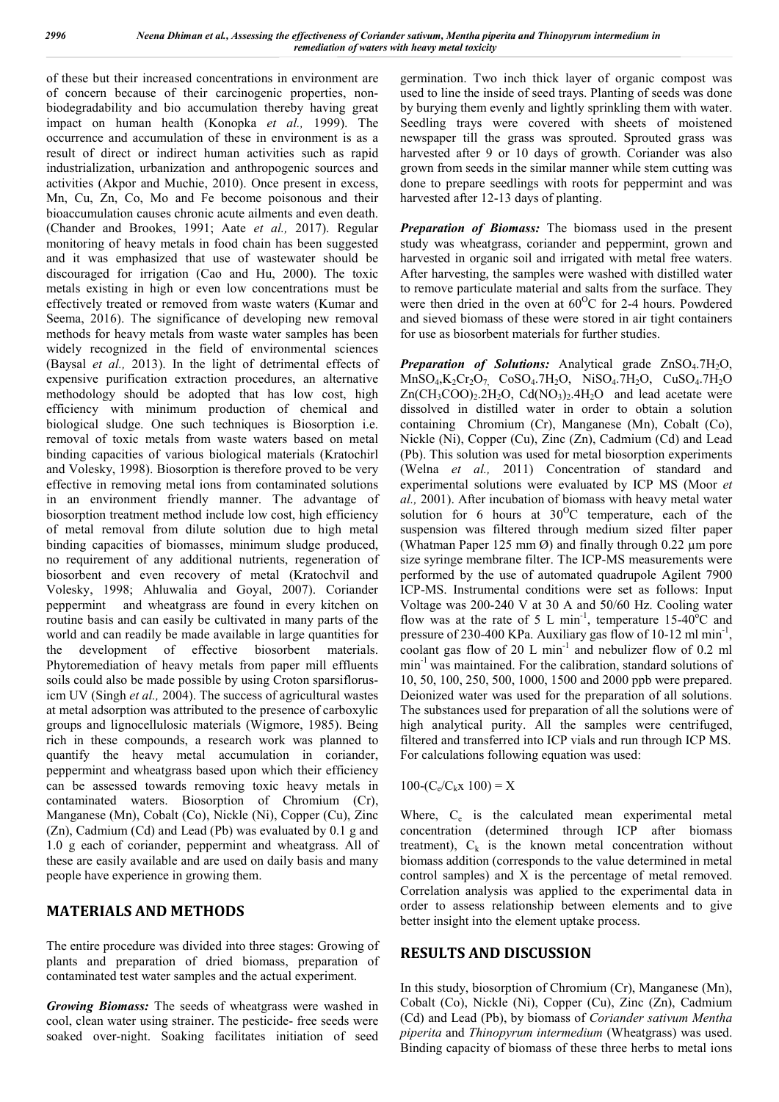of these but their increased concentrations in environment are of concern because of their carcinogenic properties, nonbiodegradability and bio accumulation thereby having great impact on human health (Konopka *et al.,* 1999). The occurrence and accumulation of these in environment is as a result of direct or indirect human activities such as rapid industrialization, urbanization and anthropogenic sources and activities (Akpor and Muchie, 2010). Once present in excess, Mn, Cu, Zn, Co, Mo and Fe become poisonous and their bioaccumulation causes chronic acute ailments and even death. (Chander and Brookes, 1991; Aate *et al.,* 2017). Regular monitoring of heavy metals in food chain has been suggested and it was emphasized that use of wastewater should be discouraged for irrigation (Cao and Hu, 2000). The toxic metals existing in high or even low concentrations must be effectively treated or removed from waste waters (Kumar and Seema, 2016). The significance of developing new removal methods for heavy metals from waste water samples has been widely recognized in the field of environmental sciences (Baysal *et al.,* 2013). In the light of detrimental effects of expensive purification extraction procedures, an alternative methodology should be adopted that has low cost, high efficiency with minimum production of chemical and biological sludge. One such techniques is Biosorption i.e. removal of toxic metals from waste waters based on metal binding capacities of various biological materials (Kratochirl and Volesky, 1998). Biosorption is therefore proved to be very effective in removing metal ions from contaminated solutions in an environment friendly manner. The advantage of biosorption treatment method include low cost, high efficiency of metal removal from dilute solution due to high metal binding capacities of biomasses, minimum sludge produced, no requirement of any additional nutrients, regeneration of biosorbent and even recovery of metal (Kratochvil and Volesky, 1998; Ahluwalia and Goyal, 2007). Coriander peppermint and wheatgrass are found in every kitchen on routine basis and can easily be cultivated in many parts of the world and can readily be made available in large quantities for the development of effective biosorbent materials. Phytoremediation of heavy metals from paper mill effluents soils could also be made possible by using Croton sparsiflorusicm UV (Singh *et al.,* 2004). The success of agricultural wastes at metal adsorption was attributed to the presence of carboxylic groups and lignocellulosic materials (Wigmore, 1985). Being rich in these compounds, a research work was planned to quantify the heavy metal accumulation in coriander, peppermint and wheatgrass based upon which their efficiency can be assessed towards removing toxic heavy metals in contaminated waters. Biosorption of Chromium (Cr), Manganese (Mn), Cobalt (Co), Nickle (Ni), Copper (Cu), Zinc (Zn), Cadmium (Cd) and Lead (Pb) was evaluated by 0.1 g and 1.0 g each of coriander, peppermint and wheatgrass. All of these are easily available and are used on daily basis and many people have experience in growing them.

## **MATERIALS AND METHODS**

The entire procedure was divided into three stages: Growing of plants and preparation of dried biomass, preparation of contaminated test water samples and the actual experiment.

*Growing Biomass:* The seeds of wheatgrass were washed in cool, clean water using strainer. The pesticide- free seeds were soaked over-night. Soaking facilitates initiation of seed

germination. Two inch thick layer of organic compost was used to line the inside of seed trays. Planting of seeds was done by burying them evenly and lightly sprinkling them with water. Seedling trays were covered with sheets of moistened newspaper till the grass was sprouted. Sprouted grass was harvested after 9 or 10 days of growth. Coriander was also grown from seeds in the similar manner while stem cutting was done to prepare seedlings with roots for peppermint and was harvested after 12-13 days of planting.

*Preparation of Biomass:* The biomass used in the present study was wheatgrass, coriander and peppermint, grown and harvested in organic soil and irrigated with metal free waters. After harvesting, the samples were washed with distilled water to remove particulate material and salts from the surface. They were then dried in the oven at  $60^{\circ}$ C for 2-4 hours. Powdered and sieved biomass of these were stored in air tight containers for use as biosorbent materials for further studies.

*Preparation of Solutions:* Analytical grade ZnSO<sub>4</sub>.7H<sub>2</sub>O,  $MnSO_4$ ,  $K_2Cr_2O_7$ ,  $CoSO_4$ .  $7H_2O$ ,  $NiSO_4$ .  $7H_2O$ ,  $CuSO_4$ .  $7H_2O$  $Zn(CH_3COO)_2.2H_2O$ ,  $Cd(NO_3)_2.4H_2O$  and lead acetate were dissolved in distilled water in order to obtain a solution containing Chromium (Cr), Manganese (Mn), Cobalt (Co), Nickle (Ni), Copper (Cu), Zinc (Zn), Cadmium (Cd) and Lead (Pb). This solution was used for metal biosorption experiments (Welna *et al.,* 2011) Concentration of standard and experimental solutions were evaluated by ICP MS (Moor *et al.,* 2001). After incubation of biomass with heavy metal water solution for 6 hours at  $30^{\circ}$ C temperature, each of the suspension was filtered through medium sized filter paper (Whatman Paper 125 mm  $\varnothing$ ) and finally through 0.22  $\mu$ m pore size syringe membrane filter. The ICP-MS measurements were performed by the use of automated quadrupole Agilent 7900 ICP-MS. Instrumental conditions were set as follows: Input Voltage was 200-240 V at 30 A and 50/60 Hz. Cooling water flow was at the rate of 5 L min<sup>-1</sup>, temperature 15-40<sup>o</sup>C and pressure of 230-400 KPa. Auxiliary gas flow of 10-12 ml  $min<sup>-1</sup>$ , coolant gas flow of 20 L min<sup>-1</sup> and nebulizer flow of 0.2 ml min<sup>-1</sup> was maintained. For the calibration, standard solutions of 10, 50, 100, 250, 500, 1000, 1500 and 2000 ppb were prepared. Deionized water was used for the preparation of all solutions. The substances used for preparation of all the solutions were of high analytical purity. All the samples were centrifuged, filtered and transferred into ICP vials and run through ICP MS. For calculations following equation was used:

 $100 - (C_e/C_kx 100) = X$ 

Where,  $C_e$  is the calculated mean experimental metal concentration (determined through ICP after biomass treatment),  $C_k$  is the known metal concentration without biomass addition (corresponds to the value determined in metal control samples) and X is the percentage of metal removed. Correlation analysis was applied to the experimental data in order to assess relationship between elements and to give better insight into the element uptake process.

#### **RESULTS AND DISCUSSION**

In this study, biosorption of Chromium (Cr), Manganese (Mn), Cobalt (Co), Nickle (Ni), Copper (Cu), Zinc (Zn), Cadmium (Cd) and Lead (Pb), by biomass of *Coriander sativum Mentha piperita* and *Thinopyrum intermedium* (Wheatgrass) was used. Binding capacity of biomass of these three herbs to metal ions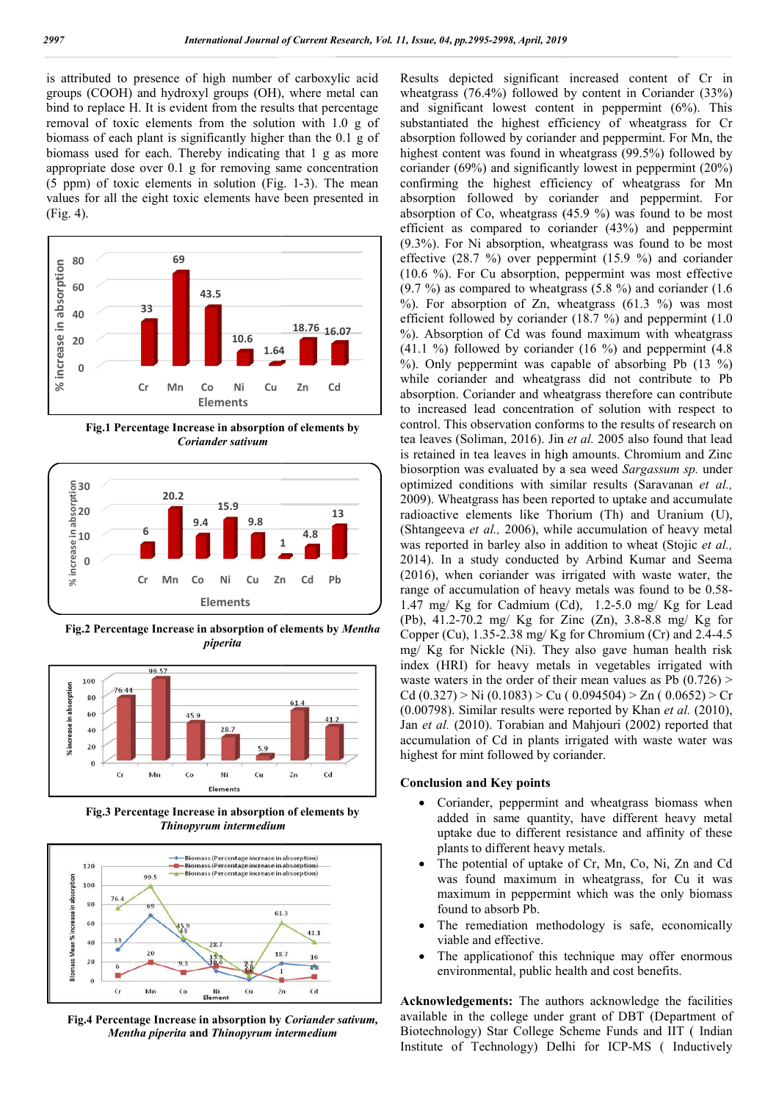is attributed to presence of high number of carboxylic acid groups (COOH) and hydroxyl groups (OH), where metal can bind to replace H. It is evident from the results that percentage removal of toxic elements from the solution with 1.0 g of biomass of each plant is significantly higher than the 0.1 g of biomass used for each. Thereby indicating that 1 g as more appropriate dose over 0.1 g for removing same concentration  $(5 ppm)$  of toxic elements in solution (Fig. 1-3). The mean values for all the eight toxic elements have been presented in (Fig. 4).



**Fig.1 Percentage Increase in absorption of elements by**  *Coriander sativum*



**Fig.2 Percentage Increase in absorption of elements by**  *Mentha piperita*



**Fig.3 Percentage Increase in absorption of elements by**  *Thinopyrum intermedium*



**Fig.4 Percentage Increase in absorption by**  *Coriander sativum, Mentha piperita* **and** *Thinopyrum intermedium*

Results depicted significant increased content of Cr in wheatgrass (76.4%) followed by content in Coriander (33%) and significant lowest content in peppermint (6%). This substantiated the highest efficiency of wheatgrass for Cr absorption followed by coriander and peppermint. For Mn, the highest content was found in wheatgrass (99.5%) followed by coriander (69%) and significantly lowest in peppermint (20%) highest content was found in wheatgrass (99.5%) followed by coriander (69%) and significantly lowest in peppermint (20%) confirming the highest efficiency of wheatgrass for Mn absorption followed by coriander and peppermint. For absorption of Co, wheatgrass (45.9 %) was found to be most efficient as compared to coriander (43%) and peppermint (9.3%). For Ni absorption, wheatgrass was found to be most effective (28.7 %) over peppermint (15.9 %) and coriander (9.3%). For Ni absorption, wheatgrass was found to be most effective  $(28.7 \%)$  over peppermint  $(15.9 \%)$  and coriander  $(10.6 \%)$ . For Cu absorption, peppermint was most effective  $(9.7 \%)$  as compared to wheatgrass  $(5.8 \%)$  and coriander  $(1.6 \%)$ %). For absorption of Zn, wheatgrass  $(61.3 \%)$  was most efficient followed by coriander (18.7 %) and peppermint (1.0 %). Absorption of Cd was found maximum with wheatgrass (41.1 %) followed by coriander (16 %) and peppermint (4.8 %). Only peppermint was capable of absorbing Pb (13 %) while coriander and wheatgrass did not contribute to Pb absorption. Coriander and wheatgrass therefore can contribute to increased lead concentration of solution wi control. This observation conforms to the results of research on tea leaves (Soliman, 2016). Jin *et al.* 2005 also found that lead is retained in tea leaves in high amounts. Chromium and Zinc biosorption was evaluated by a sea weed Sargassum sp. under optimized conditions with similar results (Saravanan et al., 2009). Wheatgrass has been reported to uptake and accumulate radioactive elements like Thorium (Th) and Uranium (U), (Shtangeeva *et al.,* 2006), while accumulation of heavy metal was reported in barley also in addition to wheat (Stojic et al., 2014). In a study conducted by Arbind Kumar and Seema (2016), when coriander was irrigated with waste water, the range of accumulation of heavy metals was found to be 0.58-(2016), when coriander was irrigated with waste water, the range of accumulation of heavy metals was found to be 0.58  $1.47 \text{ mg}/ \text{Kg}$  for Cadmium (Cd),  $1.2-5.0 \text{ mg}/ \text{Kg}$  for Lead (Pb), 41.2-70.2 mg/ Kg for Zinc (Zn), 3.8-8.8 mg/ Kg for Copper (Cu),  $1.35$ -2.38 mg/Kg for Chromium (Cr) and 2.4-4.5 mg/ Kg for Nickle (Ni). They also gave human health risk mg/ Kg for Nickle (Ni). They also gave human health risk index (HRI) for heavy metals in vegetables irrigated with waste waters in the order of their mean values as Pb  $(0.726)$ waste waters in the order of their mean values as Pb  $(0.726) >$ <br>Cd  $(0.327) > Ni (0.1083) > Cu (0.094504) > Zn (0.0652) > Cr$ (0.00798). Similar results were reported by Khan *et al.* (2010), Jan *et al.* (2010). Torabian and Mahjouri (2002) reported that accumulation of Cd in plants irrigated with waste water was highest for mint followed by coriander.  $(76.4%)$  followed by content in Coriande<br>cant lowest content in peppermint  $(6%)$ <br>d the highest efficiency of wheatgrass (9.7 %) as compared to wheatgrass (5.8 %) and coriander (1.6 %). For absorption of Zn, wheatgrass (61.3 %) was most efficient followed by coriander (18.7 %) and peppermint (1.0 %). Absorption of Cd was found maximum with 2009). Wheatgrass has been reported to uptake and accumulate radioactive elements like Thorium (Th) and Uranium (U), (Shtangeeva *et al.*, 2006), while accumulation of heavy metal was reported in barley also in addition to ian *et al.* (2010). Torabian and Mahjouri (2002) reported that<br>ccumulation of Cd in plants irrigated with waste water was<br>ighest for mint followed by coriander.<br>**Conclusion and Key points**<br>• Coriander, peppermint and whea

#### **Conclusion and Key points**

- Coriander, peppermint and wheatgrass biomass when added in same quantity, have different heavy metal uptake due to different resistance and affinity of these plants to different heavy metals.
- The potential of uptake of Cr, Mn, Co, Ni, Zn and Cd was found maximum in wheatgrass, for Cu it was maximum in peppermint which was the only biomass found to absorb Pb. • The potential of uptake of Cr, Mn, Co, Ni, Zn and Cd<br>was found maximum in wheatgrass, for Cu it was<br>maximum in peppermint which was the only biomass<br>found to absorb Pb.<br>• The remediation methodology is safe, economically
	- The remediation methodology is safe, economically viable and effective.
	- The applicationof this technique may offer enormous environmental, public health and cost benefits.

**Acknowledgements:** The authors acknowledge the facilities available in the college under grant of DBT (Department of Biotechnology) Star College Scheme Funds and IIT (Indian Institute of Technology) Delhi for ICP-MS (Inductively